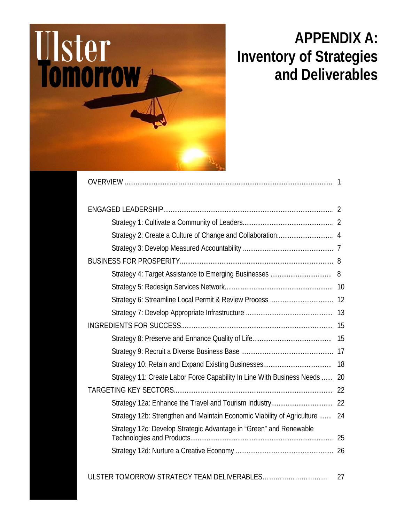

# **APPENDIX A: Inventory of Strategies and Deliverables**

| Strategy 11: Create Labor Force Capability In Line With Business Needs  20  |  |
|-----------------------------------------------------------------------------|--|
|                                                                             |  |
|                                                                             |  |
| Strategy 12b: Strengthen and Maintain Economic Viability of Agriculture  24 |  |
| Strategy 12c: Develop Strategic Advantage in "Green" and Renewable          |  |
|                                                                             |  |
|                                                                             |  |

### ULSTER TOMORROW STRATEGY TEAM DELIVERABLES………………………… 27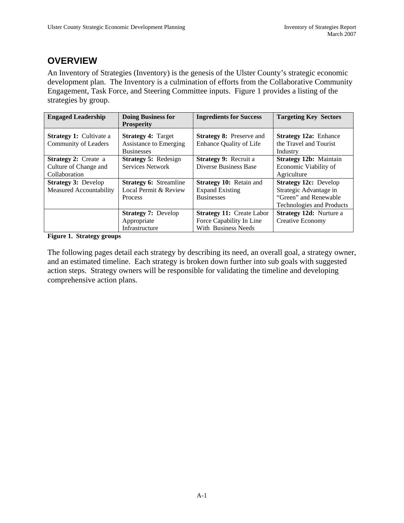### **OVERVIEW**

An Inventory of Strategies (Inventory) is the genesis of the Ulster County's strategic economic development plan. The Inventory is a culmination of efforts from the Collaborative Community Engagement, Task Force, and Steering Committee inputs. Figure 1 provides a listing of the strategies by group.

| <b>Engaged Leadership</b>                                             | <b>Doing Business for</b><br><b>Prosperity</b>                                  | <b>Ingredients for Success</b>                                                      | <b>Targeting Key Sectors</b>                                                                          |
|-----------------------------------------------------------------------|---------------------------------------------------------------------------------|-------------------------------------------------------------------------------------|-------------------------------------------------------------------------------------------------------|
| <b>Strategy 1:</b> Cultivate a<br>Community of Leaders                | <b>Strategy 4: Target</b><br><b>Assistance to Emerging</b><br><b>Businesses</b> | <b>Strategy 8: Preserve and</b><br>Enhance Quality of Life                          | <b>Strategy 12a: Enhance</b><br>the Travel and Tourist<br>Industry                                    |
| <b>Strategy 2:</b> Create a<br>Culture of Change and<br>Collaboration | <b>Strategy 5: Redesign</b><br>Services Network                                 | <b>Strategy 9: Recruit a</b><br>Diverse Business Base                               | Strategy 12b: Maintain<br>Economic Viability of<br>Agriculture                                        |
| <b>Strategy 3: Develop</b><br>Measured Accountability                 | <b>Strategy 6: Streamline</b><br>Local Permit & Review<br><b>Process</b>        | Strategy 10: Retain and<br><b>Expand Existing</b><br><b>Businesses</b>              | Strategy 12c: Develop<br>Strategic Advantage in<br>"Green" and Renewable<br>Technologies and Products |
|                                                                       | <b>Strategy 7: Develop</b><br>Appropriate<br>Infrastructure                     | <b>Strategy 11: Create Labor</b><br>Force Capability In Line<br>With Business Needs | <b>Strategy 12d:</b> Nurture a<br>Creative Economy                                                    |

**Figure 1. Strategy groups** 

The following pages detail each strategy by describing its need, an overall goal, a strategy owner, and an estimated timeline. Each strategy is broken down further into sub goals with suggested action steps. Strategy owners will be responsible for validating the timeline and developing comprehensive action plans.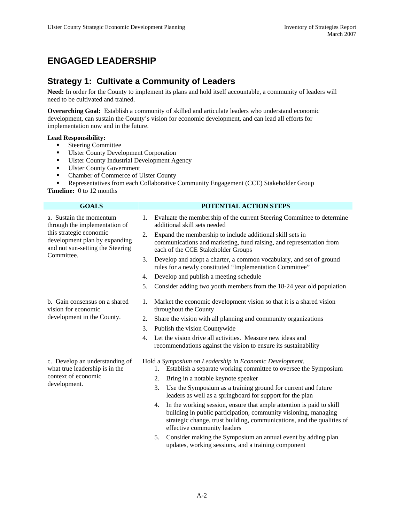## **ENGAGED LEADERSHIP**

### **Strategy 1: Cultivate a Community of Leaders**

**Need:** In order for the County to implement its plans and hold itself accountable, a community of leaders will need to be cultivated and trained.

**Overarching Goal:** Establish a community of skilled and articulate leaders who understand economic development, can sustain the County's vision for economic development, and can lead all efforts for implementation now and in the future.

#### **Lead Responsibility:**

- **Steering Committee**
- Ulster County Development Corporation
- Ulster County Industrial Development Agency
- **Ulster County Government**
- Chamber of Commerce of Ulster County

Representatives from each Collaborative Community Engagement (CCE) Stakeholder Group

**Timeline:** 0 to 12 months

| <b>GOALS</b>                                                                                                                                                           | <b>POTENTIAL ACTION STEPS</b>                                                                                                                                                                                                                          |
|------------------------------------------------------------------------------------------------------------------------------------------------------------------------|--------------------------------------------------------------------------------------------------------------------------------------------------------------------------------------------------------------------------------------------------------|
| a. Sustain the momentum<br>through the implementation of<br>this strategic economic<br>development plan by expanding<br>and not sun-setting the Steering<br>Committee. | Evaluate the membership of the current Steering Committee to determine<br>1.<br>additional skill sets needed                                                                                                                                           |
|                                                                                                                                                                        | Expand the membership to include additional skill sets in<br>2.<br>communications and marketing, fund raising, and representation from<br>each of the CCE Stakeholder Groups                                                                           |
|                                                                                                                                                                        | Develop and adopt a charter, a common vocabulary, and set of ground<br>3.<br>rules for a newly constituted "Implementation Committee"                                                                                                                  |
|                                                                                                                                                                        | Develop and publish a meeting schedule<br>4.                                                                                                                                                                                                           |
|                                                                                                                                                                        | Consider adding two youth members from the 18-24 year old population<br>5.                                                                                                                                                                             |
| b. Gain consensus on a shared<br>vision for economic                                                                                                                   | Market the economic development vision so that it is a shared vision<br>1.<br>throughout the County                                                                                                                                                    |
| development in the County.                                                                                                                                             | Share the vision with all planning and community organizations<br>2.                                                                                                                                                                                   |
|                                                                                                                                                                        | Publish the vision Countywide<br>3.                                                                                                                                                                                                                    |
|                                                                                                                                                                        | Let the vision drive all activities. Measure new ideas and<br>4.<br>recommendations against the vision to ensure its sustainability                                                                                                                    |
| c. Develop an understanding of<br>what true leadership is in the<br>context of economic<br>development.                                                                | Hold a Symposium on Leadership in Economic Development.<br>Establish a separate working committee to oversee the Symposium<br>1.<br>Bring in a notable keynote speaker<br>2.                                                                           |
|                                                                                                                                                                        | Use the Symposium as a training ground for current and future<br>3.<br>leaders as well as a springboard for support for the plan                                                                                                                       |
|                                                                                                                                                                        | In the working session, ensure that ample attention is paid to skill<br>4.<br>building in public participation, community visioning, managing<br>strategic change, trust building, communications, and the qualities of<br>effective community leaders |
|                                                                                                                                                                        | Consider making the Symposium an annual event by adding plan<br>5.<br>updates, working sessions, and a training component                                                                                                                              |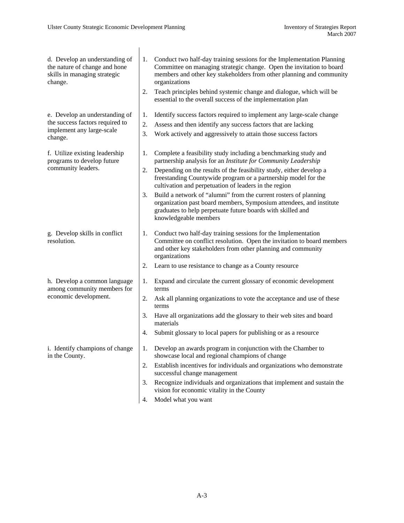| d. Develop an understanding of                                                       | 1. | Conduct two half-day training sessions for the Implementation Planning                                                                                                                                                          |
|--------------------------------------------------------------------------------------|----|---------------------------------------------------------------------------------------------------------------------------------------------------------------------------------------------------------------------------------|
| the nature of change and hone<br>skills in managing strategic<br>change.             |    | Committee on managing strategic change. Open the invitation to board<br>members and other key stakeholders from other planning and community<br>organizations                                                                   |
|                                                                                      | 2. | Teach principles behind systemic change and dialogue, which will be<br>essential to the overall success of the implementation plan                                                                                              |
| e. Develop an understanding of                                                       | 1. | Identify success factors required to implement any large-scale change                                                                                                                                                           |
| the success factors required to                                                      | 2. | Assess and then identify any success factors that are lacking                                                                                                                                                                   |
| implement any large-scale<br>change.                                                 | 3. | Work actively and aggressively to attain those success factors                                                                                                                                                                  |
| f. Utilize existing leadership<br>programs to develop future                         | 1. | Complete a feasibility study including a benchmarking study and<br>partnership analysis for an Institute for Community Leadership                                                                                               |
| community leaders.                                                                   | 2. | Depending on the results of the feasibility study, either develop a<br>freestanding Countywide program or a partnership model for the<br>cultivation and perpetuation of leaders in the region                                  |
|                                                                                      | 3. | Build a network of "alumni" from the current rosters of planning<br>organization past board members, Symposium attendees, and institute<br>graduates to help perpetuate future boards with skilled and<br>knowledgeable members |
| g. Develop skills in conflict<br>resolution.                                         | 1. | Conduct two half-day training sessions for the Implementation<br>Committee on conflict resolution. Open the invitation to board members<br>and other key stakeholders from other planning and community<br>organizations        |
|                                                                                      | 2. | Learn to use resistance to change as a County resource                                                                                                                                                                          |
| h. Develop a common language<br>among community members for<br>economic development. | 1. | Expand and circulate the current glossary of economic development<br>terms                                                                                                                                                      |
|                                                                                      | 2. | Ask all planning organizations to vote the acceptance and use of these<br>terms                                                                                                                                                 |
|                                                                                      | 3. | Have all organizations add the glossary to their web sites and board<br>materials                                                                                                                                               |
|                                                                                      | 4. | Submit glossary to local papers for publishing or as a resource                                                                                                                                                                 |
| i. Identify champions of change<br>in the County.                                    | 1. | Develop an awards program in conjunction with the Chamber to<br>showcase local and regional champions of change                                                                                                                 |
|                                                                                      | 2. | Establish incentives for individuals and organizations who demonstrate<br>successful change management                                                                                                                          |
|                                                                                      | 3. | Recognize individuals and organizations that implement and sustain the<br>vision for economic vitality in the County                                                                                                            |
|                                                                                      | 4. | Model what you want                                                                                                                                                                                                             |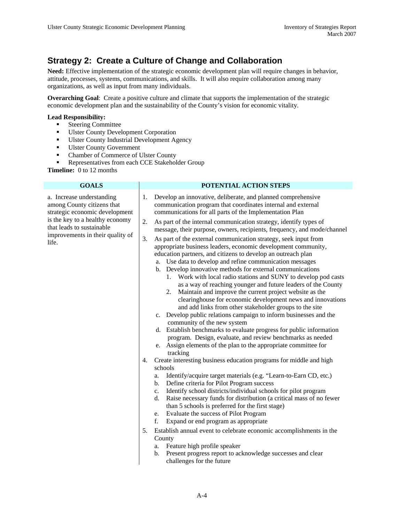### **Strategy 2: Create a Culture of Change and Collaboration**

**Need:** Effective implementation of the strategic economic development plan will require changes in behavior, attitude, processes, systems, communications, and skills. It will also require collaboration among many organizations, as well as input from many individuals.

**Overarching Goal**: Create a positive culture and climate that supports the implementation of the strategic economic development plan and the sustainability of the County's vision for economic vitality.

#### **Lead Responsibility:**

- **Steering Committee**
- Ulster County Development Corporation
- **Ulster County Industrial Development Agency**
- **Ulster County Government**
- Chamber of Commerce of Ulster County
- Representatives from each CCE Stakeholder Group

**Timeline:** 0 to 12 months

| <b>GOALS</b>                                                                                                                                                                                           | POTENTIAL ACTION STEPS                                                                                                                                                                                                                                                                                                                                                                                                                                                                                                                                                                                                                                                                                                                                                                                                                                                                                                                                                                                                                                                                                                                                                                                                                    |
|--------------------------------------------------------------------------------------------------------------------------------------------------------------------------------------------------------|-------------------------------------------------------------------------------------------------------------------------------------------------------------------------------------------------------------------------------------------------------------------------------------------------------------------------------------------------------------------------------------------------------------------------------------------------------------------------------------------------------------------------------------------------------------------------------------------------------------------------------------------------------------------------------------------------------------------------------------------------------------------------------------------------------------------------------------------------------------------------------------------------------------------------------------------------------------------------------------------------------------------------------------------------------------------------------------------------------------------------------------------------------------------------------------------------------------------------------------------|
| a. Increase understanding<br>among County citizens that<br>strategic economic development<br>is the key to a healthy economy<br>that leads to sustainable<br>improvements in their quality of<br>life. | Develop an innovative, deliberate, and planned comprehensive<br>1.<br>communication program that coordinates internal and external<br>communications for all parts of the Implementation Plan                                                                                                                                                                                                                                                                                                                                                                                                                                                                                                                                                                                                                                                                                                                                                                                                                                                                                                                                                                                                                                             |
|                                                                                                                                                                                                        | 2.<br>As part of the internal communication strategy, identify types of<br>message, their purpose, owners, recipients, frequency, and mode/channel<br>3.<br>As part of the external communication strategy, seek input from<br>appropriate business leaders, economic development community,<br>education partners, and citizens to develop an outreach plan<br>a. Use data to develop and refine communication messages<br>b. Develop innovative methods for external communications<br>Work with local radio stations and SUNY to develop pod casts<br>1.<br>as a way of reaching younger and future leaders of the County<br>Maintain and improve the current project website as the<br>2.<br>clearinghouse for economic development news and innovations<br>and add links from other stakeholder groups to the site<br>c. Develop public relations campaign to inform businesses and the<br>community of the new system<br>d. Establish benchmarks to evaluate progress for public information<br>program. Design, evaluate, and review benchmarks as needed<br>Assign elements of the plan to the appropriate committee for<br>e.<br>tracking<br>Create interesting business education programs for middle and high<br>4.<br>schools |
|                                                                                                                                                                                                        | Identify/acquire target materials (e.g. "Learn-to-Earn CD, etc.)<br>a.<br>Define criteria for Pilot Program success<br>b.<br>Identify school districts/individual schools for pilot program<br>c.<br>Raise necessary funds for distribution (a critical mass of no fewer<br>d.<br>than 5 schools is preferred for the first stage)<br>Evaluate the success of Pilot Program<br>e.<br>f.<br>Expand or end program as appropriate<br>Establish annual event to celebrate economic accomplishments in the<br>5.<br>County<br>Feature high profile speaker<br>a.<br>Present progress report to acknowledge successes and clear<br>$\mathbf{b}$ .<br>challenges for the future                                                                                                                                                                                                                                                                                                                                                                                                                                                                                                                                                                 |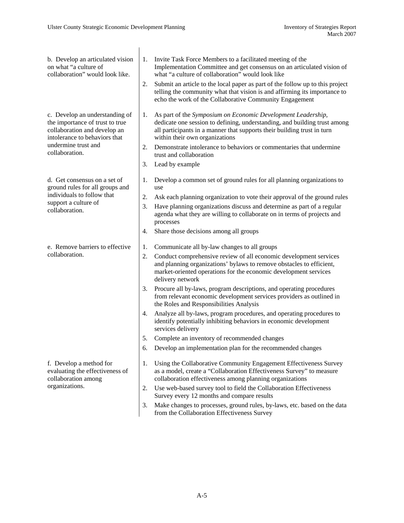| b. Develop an articulated vision<br>on what "a culture of<br>collaboration" would look like.                                            | 1.<br>2. | Invite Task Force Members to a facilitated meeting of the<br>Implementation Committee and get consensus on an articulated vision of<br>what "a culture of collaboration" would look like<br>Submit an article to the local paper as part of the follow up to this project<br>telling the community what that vision is and affirming its importance to<br>echo the work of the Collaborative Community Engagement |
|-----------------------------------------------------------------------------------------------------------------------------------------|----------|-------------------------------------------------------------------------------------------------------------------------------------------------------------------------------------------------------------------------------------------------------------------------------------------------------------------------------------------------------------------------------------------------------------------|
| c. Develop an understanding of<br>the importance of trust to true<br>collaboration and develop an<br>intolerance to behaviors that      | 1.       | As part of the Symposium on Economic Development Leadership,<br>dedicate one session to defining, understanding, and building trust among<br>all participants in a manner that supports their building trust in turn<br>within their own organizations                                                                                                                                                            |
| undermine trust and<br>collaboration.                                                                                                   | 2.<br>3. | Demonstrate intolerance to behaviors or commentaries that undermine<br>trust and collaboration<br>Lead by example                                                                                                                                                                                                                                                                                                 |
| d. Get consensus on a set of<br>ground rules for all groups and<br>individuals to follow that<br>support a culture of<br>collaboration. | 1.       | Develop a common set of ground rules for all planning organizations to<br>use                                                                                                                                                                                                                                                                                                                                     |
|                                                                                                                                         | 2.<br>3. | Ask each planning organization to vote their approval of the ground rules<br>Have planning organizations discuss and determine as part of a regular<br>agenda what they are willing to collaborate on in terms of projects and<br>processes                                                                                                                                                                       |
|                                                                                                                                         | 4.       | Share those decisions among all groups                                                                                                                                                                                                                                                                                                                                                                            |
| e. Remove barriers to effective                                                                                                         | 1.       | Communicate all by-law changes to all groups                                                                                                                                                                                                                                                                                                                                                                      |
| collaboration.                                                                                                                          | 2.       | Conduct comprehensive review of all economic development services<br>and planning organizations' bylaws to remove obstacles to efficient,<br>market-oriented operations for the economic development services<br>delivery network                                                                                                                                                                                 |
|                                                                                                                                         | 3.       | Procure all by-laws, program descriptions, and operating procedures<br>from relevant economic development services providers as outlined in<br>the Roles and Responsibilities Analysis                                                                                                                                                                                                                            |
|                                                                                                                                         | 4.       | Analyze all by-laws, program procedures, and operating procedures to<br>identify potentially inhibiting behaviors in economic development<br>services delivery                                                                                                                                                                                                                                                    |
|                                                                                                                                         | 5.       | Complete an inventory of recommended changes                                                                                                                                                                                                                                                                                                                                                                      |
|                                                                                                                                         | 6.       | Develop an implementation plan for the recommended changes                                                                                                                                                                                                                                                                                                                                                        |
| f. Develop a method for<br>evaluating the effectiveness of<br>collaboration among                                                       | 1.       | Using the Collaborative Community Engagement Effectiveness Survey<br>as a model, create a "Collaboration Effectiveness Survey" to measure<br>collaboration effectiveness among planning organizations                                                                                                                                                                                                             |
| organizations.                                                                                                                          | 2.       | Use web-based survey tool to field the Collaboration Effectiveness<br>Survey every 12 months and compare results                                                                                                                                                                                                                                                                                                  |
|                                                                                                                                         | 3.       | Make changes to processes, ground rules, by-laws, etc. based on the data<br>from the Collaboration Effectiveness Survey                                                                                                                                                                                                                                                                                           |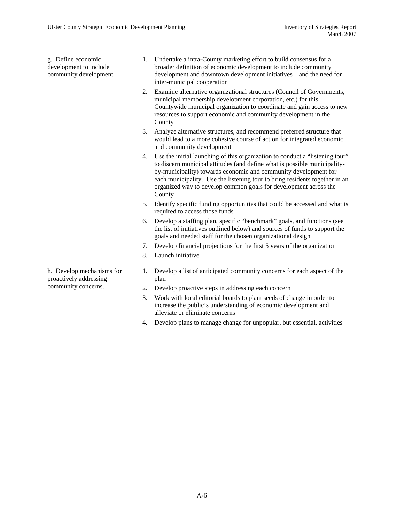g. Define economic development to include community development. 1. Undertake a intra-County marketing effort to build consensus for a broader definition of economic development to include community development and downtown development initiatives—and the need for inter-municipal cooperation 2. Examine alternative organizational structures (Council of Governments, municipal membership development corporation, etc.) for this Countywide municipal organization to coordinate and gain access to new resources to support economic and community development in the County 3. Analyze alternative structures, and recommend preferred structure that would lead to a more cohesive course of action for integrated economic and community development 4. Use the initial launching of this organization to conduct a "listening tour" to discern municipal attitudes (and define what is possible municipalityby-municipality) towards economic and community development for each municipality. Use the listening tour to bring residents together in an organized way to develop common goals for development across the County 5. Identify specific funding opportunities that could be accessed and what is required to access those funds 6. Develop a staffing plan, specific "benchmark" goals, and functions (see the list of initiatives outlined below) and sources of funds to support the goals and needed staff for the chosen organizational design 7. Develop financial projections for the first 5 years of the organization 8. Launch initiative h. Develop mechanisms for proactively addressing community concerns. 1. Develop a list of anticipated community concerns for each aspect of the plan 2. Develop proactive steps in addressing each concern

- 3. Work with local editorial boards to plant seeds of change in order to increase the public's understanding of economic development and alleviate or eliminate concerns
- 4. Develop plans to manage change for unpopular, but essential, activities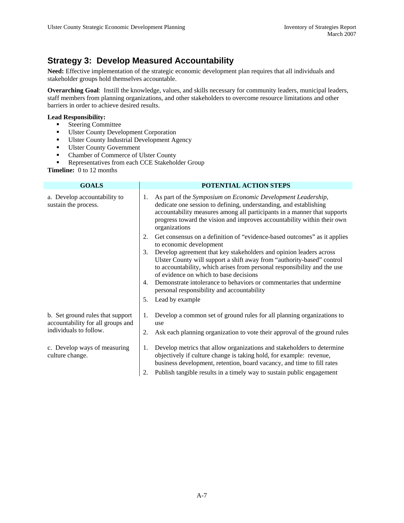### **Strategy 3: Develop Measured Accountability**

**Need:** Effective implementation of the strategic economic development plan requires that all individuals and stakeholder groups hold themselves accountable.

**Overarching Goal**: Instill the knowledge, values, and skills necessary for community leaders, municipal leaders, staff members from planning organizations, and other stakeholders to overcome resource limitations and other barriers in order to achieve desired results.

#### **Lead Responsibility:**

- **Steering Committee**
- Ulster County Development Corporation
- **Ulster County Industrial Development Agency**
- **Ulster County Government**
- Chamber of Commerce of Ulster County
- Representatives from each CCE Stakeholder Group

**Timeline:** 0 to 12 months

| <b>GOALS</b>                                                                                    |          | POTENTIAL ACTION STEPS                                                                                                                                                                                                                                                                                                                                                                  |
|-------------------------------------------------------------------------------------------------|----------|-----------------------------------------------------------------------------------------------------------------------------------------------------------------------------------------------------------------------------------------------------------------------------------------------------------------------------------------------------------------------------------------|
| a. Develop accountability to<br>sustain the process.                                            | 1.       | As part of the Symposium on Economic Development Leadership,<br>dedicate one session to defining, understanding, and establishing<br>accountability measures among all participants in a manner that supports<br>progress toward the vision and improves accountability within their own<br>organizations                                                                               |
|                                                                                                 | 2.       | Get consensus on a definition of "evidence-based outcomes" as it applies<br>to economic development                                                                                                                                                                                                                                                                                     |
|                                                                                                 | 3.<br>4. | Develop agreement that key stakeholders and opinion leaders across<br>Ulster County will support a shift away from "authority-based" control<br>to accountability, which arises from personal responsibility and the use<br>of evidence on which to base decisions<br>Demonstrate intolerance to behaviors or commentaries that undermine<br>personal responsibility and accountability |
|                                                                                                 | 5.       | Lead by example                                                                                                                                                                                                                                                                                                                                                                         |
| b. Set ground rules that support<br>accountability for all groups and<br>individuals to follow. | 1.       | Develop a common set of ground rules for all planning organizations to<br>use                                                                                                                                                                                                                                                                                                           |
|                                                                                                 | 2.       | Ask each planning organization to vote their approval of the ground rules                                                                                                                                                                                                                                                                                                               |
| c. Develop ways of measuring<br>culture change.                                                 | 1.       | Develop metrics that allow organizations and stakeholders to determine<br>objectively if culture change is taking hold, for example: revenue,<br>business development, retention, board vacancy, and time to fill rates                                                                                                                                                                 |
|                                                                                                 | 2.       | Publish tangible results in a timely way to sustain public engagement                                                                                                                                                                                                                                                                                                                   |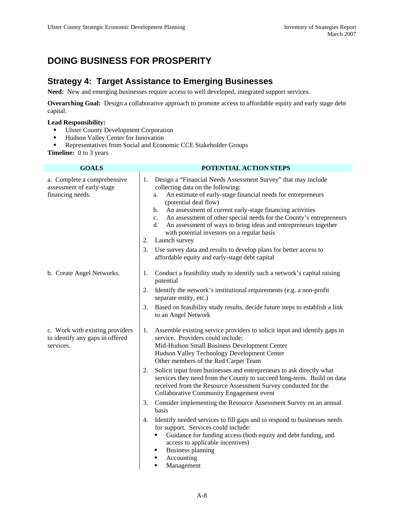### **DOING BUSINESS FOR PROSPERITY**

#### **Strategy 4: Target Assistance to Emerging Businesses**

**Need:** New and emerging businesses require access to well developed, integrated support services.

**Overarching Goal:** Design a collaborative approach to promote access to affordable equity and early stage debt capital.

#### **Lead Responsibility:**

- **Ulster County Development Corporation**
- **Hudson Valley Center for Innovation**
- **Representatives from Social and Economic CCE Stakeholder Groups**

| <b>GOALS</b>                                                                    | POTENTIAL ACTION STEPS                                                                                                                                                                                                                                                                                                                                                                                                                                                                                                                                                                                                                                                                                                                                                                                                                                                                                                       |
|---------------------------------------------------------------------------------|------------------------------------------------------------------------------------------------------------------------------------------------------------------------------------------------------------------------------------------------------------------------------------------------------------------------------------------------------------------------------------------------------------------------------------------------------------------------------------------------------------------------------------------------------------------------------------------------------------------------------------------------------------------------------------------------------------------------------------------------------------------------------------------------------------------------------------------------------------------------------------------------------------------------------|
| a. Complete a comprehensive<br>assessment of early-stage<br>financing needs.    | Design a "Financial Needs Assessment Survey" that may include<br>1.<br>collecting data on the following:<br>An estimate of early-stage financial needs for entrepreneurs<br>a.<br>(potential deal flow)<br>An assessment of current early-stage financing activities<br>b.<br>An assessment of other special needs for the County's entrepreneurs<br>c.<br>An assessment of ways to bring ideas and entrepreneurs together<br>d.<br>with potential investors on a regular basis<br>Launch survey<br>2.<br>Use survey data and results to develop plans for better access to<br>3.<br>affordable equity and early-stage debt capital                                                                                                                                                                                                                                                                                          |
| b. Create Angel Networks.                                                       | Conduct a feasibility study to identify such a network's capital raising<br>1.<br>potential<br>Identify the network's institutional requirements (e.g. a non-profit<br>2.<br>separate entity, etc.)<br>3.<br>Based on feasibility study results, decide future steps to establish a link<br>to an Angel Network                                                                                                                                                                                                                                                                                                                                                                                                                                                                                                                                                                                                              |
| c. Work with existing providers<br>to identify any gaps in offered<br>services. | Assemble existing service providers to solicit input and identify gaps in<br>1.<br>service. Providers could include:<br>Mid-Hudson Small Business Development Center<br>Hudson Valley Technology Development Center<br>Other members of the Red Carpet Team<br>Solicit input from businesses and entrepreneurs to ask directly what<br>2.<br>services they need from the County to succeed long-term. Build on data<br>received from the Resource Assessment Survey conducted for the<br>Collaborative Community Engagement event<br>Consider implementing the Resource Assessment Survey on an annual<br>3.<br>basis<br>Identify needed services to fill gaps and to respond to businesses needs<br>4.<br>for support. Services could include:<br>Guidance for funding access (both equity and debt funding, and<br>п<br>access to applicable incentives)<br><b>Business planning</b><br>٠<br>Accounting<br>٠<br>Management |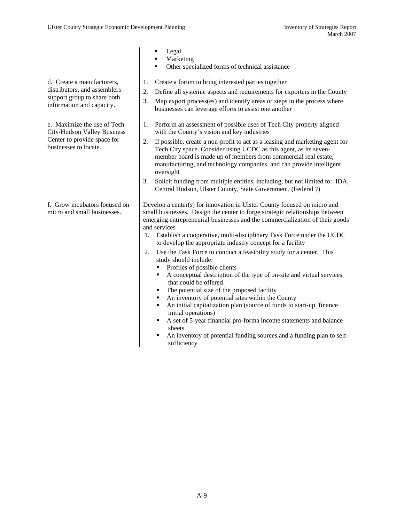d. Create a manufacturers, distributors, and assemblers support group to share both information and capacity.

e. Maximize the use of Tech City/Hudson Valley Business Center to provide space for businesses to locate.

f. Grow incubators focused on micro and small businesses.

- Legal
- Marketing
	- Other specialized forms of technical assistance
- 1. Create a forum to bring interested parties together
- 2. Define all systemic aspects and requirements for exporters in the County
- 3. Map export process(es) and identify areas or steps in the process where businesses can leverage efforts to assist one another
- 1. Perform an assessment of possible uses of Tech City property aligned with the County's vision and key industries
- 2. If possible, create a non-profit to act as a leasing and marketing agent for Tech City space. Consider using UCDC as this agent, as its sevenmember board is made up of members from commercial real estate, manufacturing, and technology companies, and can provide intelligent oversight
- 3. Solicit funding from multiple entities, including, but not limited to: IDA, Central Hudson, Ulster County, State Government, (Federal ?)

Develop a center(s) for innovation in Ulster County focused on micro and small businesses. Design the center to forge strategic relationships between emerging entrepreneurial businesses and the commercialization of their goods and services

- 1. Establish a cooperative, multi-disciplinary Task Force under the UCDC to develop the appropriate industry concept for a facility
- 2. Use the Task Force to conduct a feasibility study for a center. This study should include:
	- Profiles of possible clients
	- A conceptual description of the type of on-site and virtual services that could be offered
	- The potential size of the proposed facility
	- An inventory of potential sites within the County
	- An initial capitalization plan (source of funds to start-up, finance initial operations)
	- A set of 5-year financial pro-forma income statements and balance sheets
	- An inventory of potential funding sources and a funding plan to selfsufficiency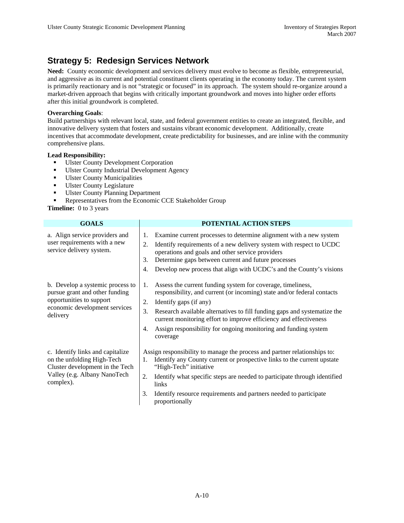### **Strategy 5: Redesign Services Network**

**Need:** County economic development and services delivery must evolve to become as flexible, entrepreneurial, and aggressive as its current and potential constituent clients operating in the economy today. The current system is primarily reactionary and is not "strategic or focused" in its approach. The system should re-organize around a market-driven approach that begins with critically important groundwork and moves into higher order efforts after this initial groundwork is completed.

#### **Overarching Goals**:

Build partnerships with relevant local, state, and federal government entities to create an integrated, flexible, and innovative delivery system that fosters and sustains vibrant economic development. Additionally, create incentives that accommodate development, create predictability for businesses, and are inline with the community comprehensive plans.

#### **Lead Responsibility:**

- **Ulster County Development Corporation**
- **Ulster County Industrial Development Agency**
- **Ulster County Municipalities**
- **Ulster County Legislature**
- Ulster County Planning Department
- Representatives from the Economic CCE Stakeholder Group

| <b>GOALS</b>                                                                                                                                   | POTENTIAL ACTION STEPS                                                                                                                                                                                                                                                                                                                                                                                                   |
|------------------------------------------------------------------------------------------------------------------------------------------------|--------------------------------------------------------------------------------------------------------------------------------------------------------------------------------------------------------------------------------------------------------------------------------------------------------------------------------------------------------------------------------------------------------------------------|
| a. Align service providers and<br>user requirements with a new<br>service delivery system.                                                     | Examine current processes to determine alignment with a new system<br>1.<br>2.<br>Identify requirements of a new delivery system with respect to UCDC<br>operations and goals and other service providers<br>Determine gaps between current and future processes<br>3.<br>Develop new process that align with UCDC's and the County's visions<br>4.                                                                      |
| b. Develop a systemic process to<br>pursue grant and other funding<br>opportunities to support<br>economic development services<br>delivery    | Assess the current funding system for coverage, timeliness,<br>1.<br>responsibility, and current (or incoming) state and/or federal contacts<br>2.<br>Identify gaps (if any)<br>3.<br>Research available alternatives to fill funding gaps and systematize the<br>current monitoring effort to improve efficiency and effectiveness<br>Assign responsibility for ongoing monitoring and funding system<br>4.<br>coverage |
| c. Identify links and capitalize<br>on the unfolding High-Tech<br>Cluster development in the Tech<br>Valley (e.g. Albany NanoTech<br>complex). | Assign responsibility to manage the process and partner relationships to:<br>Identify any County current or prospective links to the current upstate<br>1.<br>"High-Tech" initiative<br>2.<br>Identify what specific steps are needed to participate through identified<br>links<br>Identify resource requirements and partners needed to participate<br>3.<br>proportionally                                            |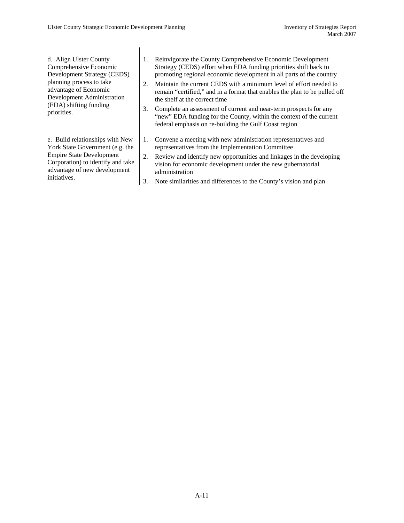d. Align Ulster County Comprehensive Economic Development Strategy (CEDS) planning process to take advantage of Economic Development Administration (EDA) shifting funding priorities.

e. Build relationships with New York State Government (e.g. the Empire State Development Corporation) to identify and take advantage of new development initiatives.

- 1. Reinvigorate the County Comprehensive Economic Development Strategy (CEDS) effort when EDA funding priorities shift back to promoting regional economic development in all parts of the country
- 2. Maintain the current CEDS with a minimum level of effort needed to remain "certified," and in a format that enables the plan to be pulled off the shelf at the correct time
- 3. Complete an assessment of current and near-term prospects for any "new" EDA funding for the County, within the context of the current federal emphasis on re-building the Gulf Coast region
- 1. Convene a meeting with new administration representatives and representatives from the Implementation Committee
- 2. Review and identify new opportunities and linkages in the developing vision for economic development under the new gubernatorial administration
- 3. Note similarities and differences to the County's vision and plan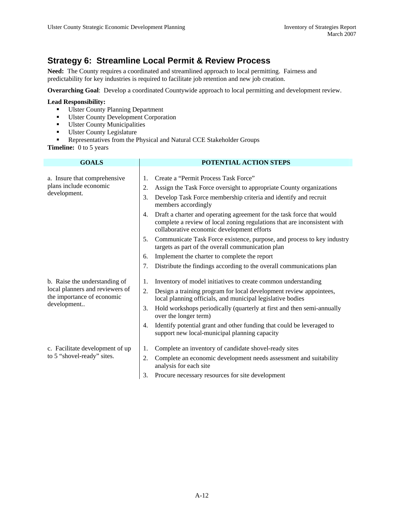### **Strategy 6: Streamline Local Permit & Review Process**

**Need:** The County requires a coordinated and streamlined approach to local permitting. Fairness and predictability for key industries is required to facilitate job retention and new job creation.

**Overarching Goal**: Develop a coordinated Countywide approach to local permitting and development review.

#### **Lead Responsibility:**

- Ulster County Planning Department
- **Ulster County Development Corporation**
- **Ulster County Municipalities**
- **Ulster County Legislature**
- Representatives from the Physical and Natural CCE Stakeholder Groups
- **Timeline:** 0 to 5 years

| <b>GOALS</b>                                                                                                  | POTENTIAL ACTION STEPS                                                                                                                                                                                |
|---------------------------------------------------------------------------------------------------------------|-------------------------------------------------------------------------------------------------------------------------------------------------------------------------------------------------------|
| a. Insure that comprehensive                                                                                  | Create a "Permit Process Task Force"<br>1.                                                                                                                                                            |
| plans include economic<br>development.                                                                        | 2.<br>Assign the Task Force oversight to appropriate County organizations                                                                                                                             |
|                                                                                                               | Develop Task Force membership criteria and identify and recruit<br>3.<br>members accordingly                                                                                                          |
|                                                                                                               | Draft a charter and operating agreement for the task force that would<br>4.<br>complete a review of local zoning regulations that are inconsistent with<br>collaborative economic development efforts |
|                                                                                                               | Communicate Task Force existence, purpose, and process to key industry<br>5.<br>targets as part of the overall communication plan                                                                     |
|                                                                                                               | Implement the charter to complete the report<br>6.                                                                                                                                                    |
|                                                                                                               | Distribute the findings according to the overall communications plan<br>7.                                                                                                                            |
| b. Raise the understanding of<br>local planners and reviewers of<br>the importance of economic<br>development | Inventory of model initiatives to create common understanding<br>1.                                                                                                                                   |
|                                                                                                               | 2.<br>Design a training program for local development review appointees,<br>local planning officials, and municipal legislative bodies                                                                |
|                                                                                                               | Hold workshops periodically (quarterly at first and then semi-annually<br>3.<br>over the longer term)                                                                                                 |
|                                                                                                               | Identify potential grant and other funding that could be leveraged to<br>4.<br>support new local-municipal planning capacity                                                                          |
| c. Facilitate development of up<br>to 5 "shovel-ready" sites.                                                 | Complete an inventory of candidate shovel-ready sites<br>1.                                                                                                                                           |
|                                                                                                               | 2.<br>Complete an economic development needs assessment and suitability<br>analysis for each site                                                                                                     |
|                                                                                                               | 3.<br>Procure necessary resources for site development                                                                                                                                                |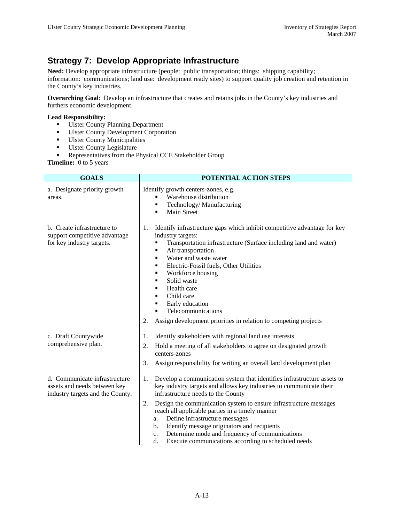### **Strategy 7: Develop Appropriate Infrastructure**

**Need:** Develop appropriate infrastructure (people: public transportation; things: shipping capability; information: communications; land use: development ready sites) to support quality job creation and retention in the County's key industries.

**Overarching Goal**: Develop an infrastructure that creates and retains jobs in the County's key industries and furthers economic development.

#### **Lead Responsibility:**

- Ulster County Planning Department
- Ulster County Development Corporation
- **Ulster County Municipalities**
- **Ulster County Legislature**
- **Representatives from the Physical CCE Stakeholder Group**

| <b>GOALS</b>                                                                                      | POTENTIAL ACTION STEPS                                                                                                                                                                                                                                                                                                                                                                                                                                                                                                                     |
|---------------------------------------------------------------------------------------------------|--------------------------------------------------------------------------------------------------------------------------------------------------------------------------------------------------------------------------------------------------------------------------------------------------------------------------------------------------------------------------------------------------------------------------------------------------------------------------------------------------------------------------------------------|
| a. Designate priority growth<br>areas.                                                            | Identify growth centers-zones, e.g.<br>Warehouse distribution<br>Technology/Manufacturing<br>п<br><b>Main Street</b>                                                                                                                                                                                                                                                                                                                                                                                                                       |
| b. Create infrastructure to<br>support competitive advantage<br>for key industry targets.         | Identify infrastructure gaps which inhibit competitive advantage for key<br>1.<br>industry targets:<br>Transportation infrastructure (Surface including land and water)<br>٠<br>Air transportation<br>٠<br>Water and waste water<br>٠<br>Electric-Fossil fuels, Other Utilities<br>٠<br>Workforce housing<br>٠<br>Solid waste<br>٠<br>Health care<br>٠<br>Child care<br>٠<br>Early education<br>٠<br>Telecommunications<br>Assign development priorities in relation to competing projects<br>2.                                           |
| c. Draft Countywide<br>comprehensive plan.                                                        | Identify stakeholders with regional land use interests<br>1.<br>Hold a meeting of all stakeholders to agree on designated growth<br>2.<br>centers-zones<br>Assign responsibility for writing an overall land development plan<br>3.                                                                                                                                                                                                                                                                                                        |
| d. Communicate infrastructure<br>assets and needs between key<br>industry targets and the County. | Develop a communication system that identifies infrastructure assets to<br>1.<br>key industry targets and allows key industries to communicate their<br>infrastructure needs to the County<br>2.<br>Design the communication system to ensure infrastructure messages<br>reach all applicable parties in a timely manner<br>Define infrastructure messages<br>a.<br>Identify message originators and recipients<br>b.<br>Determine mode and frequency of communications<br>c.<br>Execute communications according to scheduled needs<br>d. |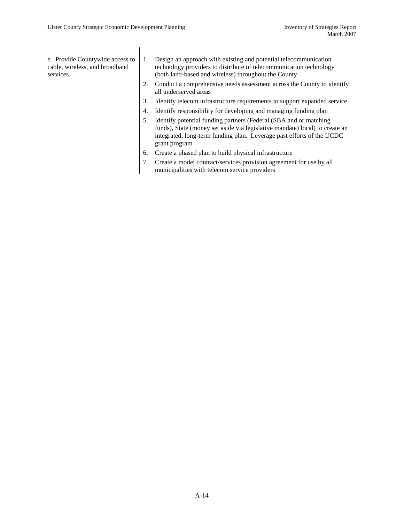e. Provide Countywide access to cable, wireless, and broadband services.

- 1. Design an approach with existing and potential telecommunication technology providers to distribute of telecommunication technology (both land-based and wireless) throughout the County
- 2. Conduct a comprehensive needs assessment across the County to identify all underserved areas
- 3. Identify telecom infrastructure requirements to support expanded service
- 4. Identify responsibility for developing and managing funding plan
- 5. Identify potential funding partners (Federal (SBA and or matching funds), State (money set aside via legislative mandate) local) to create an integrated, long-term funding plan. Leverage past efforts of the UCDC grant program
- 6. Create a phased plan to build physical infrastructure
- 7. Create a model contract/services provision agreement for use by all municipalities with telecom service providers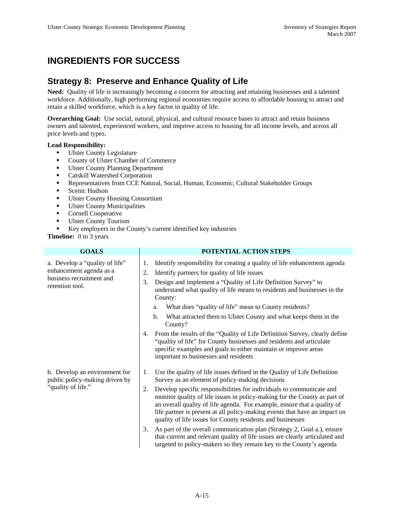## **INGREDIENTS FOR SUCCESS**

### **Strategy 8: Preserve and Enhance Quality of Life**

**Need:** Quality of life is increasingly becoming a concern for attracting and retaining businesses and a talented workforce. Additionally, high performing regional economies require access to affordable housing to attract and retain a skilled workforce, which is a key factor in quality of life.

**Overarching Goal:** Use social, natural, physical, and cultural resource bases to attract and retain business owners and talented, experienced workers, and improve access to housing for all income levels, and across all price levels and types.

#### **Lead Responsibility:**

- **Ulster County Legislature**
- **County of Ulster Chamber of Commerce**
- Ulster County Planning Department
- **Catskill Watershed Corporation**
- Representatives from CCE Natural, Social, Human, Economic, Cultural Stakeholder Groups
- **Scenic Hudson**
- Ulster County Housing Consortium
- **Ulster County Municipalities**
- **Cornell Cooperative**
- **Ulster County Tourism**
- Key employers in the County's current identified key industries
- **Timeline:** 0 to 3 years

| <b>GOALS</b>                                                                                             | POTENTIAL ACTION STEPS                                                                                                                                                                                                                                                                                                                                                          |
|----------------------------------------------------------------------------------------------------------|---------------------------------------------------------------------------------------------------------------------------------------------------------------------------------------------------------------------------------------------------------------------------------------------------------------------------------------------------------------------------------|
| a. Develop a "quality of life"<br>enhancement agenda as a<br>business recruitment and<br>retention tool. | Identify responsibility for creating a quality of life enhancement agenda<br>1.<br>Identify partners for quality of life issues<br>2.<br>Design and implement a "Quality of Life Definition Survey" to<br>3.<br>understand what quality of life means to residents and businesses in the<br>County:                                                                             |
|                                                                                                          | What does "quality of life" mean to County residents?<br>a.                                                                                                                                                                                                                                                                                                                     |
|                                                                                                          | What attracted them to Ulster County and what keeps them in the<br>$\mathbf{b}$ .<br>County?                                                                                                                                                                                                                                                                                    |
|                                                                                                          | From the results of the "Quality of Life Definition Survey, clearly define<br>4.<br>"quality of life" for County businesses and residents and articulate<br>specific examples and goals to either maintain or improve areas<br>important to businesses and residents                                                                                                            |
| b. Develop an environment for<br>public policy-making driven by<br>"quality of life."                    | Use the quality of life issues defined in the Quality of Life Definition<br>1.<br>Survey as an element of policy-making decisions                                                                                                                                                                                                                                               |
|                                                                                                          | Develop specific responsibilities for individuals to communicate and<br>2.<br>monitor quality of life issues in policy-making for the County as part of<br>an overall quality of life agenda. For example, ensure that a quality of<br>life partner is present at all policy-making events that have an impact on<br>quality of life issues for County residents and businesses |
|                                                                                                          | As part of the overall communication plan (Strategy 2, Goal a.), ensure<br>3.<br>that current and relevant quality of life issues are clearly articulated and<br>targeted to policy-makers so they remain key to the County's agenda                                                                                                                                            |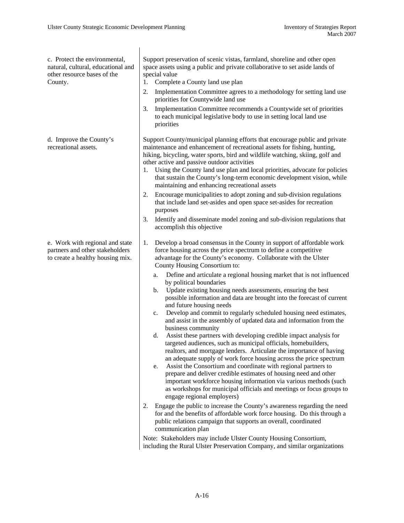| c. Protect the environmental,<br>natural, cultural, educational and<br>other resource bases of the<br>County. | Support preservation of scenic vistas, farmland, shoreline and other open<br>space assets using a public and private collaborative to set aside lands of<br>special value<br>Complete a County land use plan<br>1.<br>Implementation Committee agrees to a methodology for setting land use<br>2.<br>priorities for Countywide land use<br>Implementation Committee recommends a Countywide set of priorities<br>3.<br>to each municipal legislative body to use in setting local land use<br>priorities                                                                                                                                                                                                                                                                                                                                                                                                                                                                                                                                                                                                                                                                                                                                                                                                                                                                                                                                                                                                                                                                                                                                                                                                                                    |
|---------------------------------------------------------------------------------------------------------------|---------------------------------------------------------------------------------------------------------------------------------------------------------------------------------------------------------------------------------------------------------------------------------------------------------------------------------------------------------------------------------------------------------------------------------------------------------------------------------------------------------------------------------------------------------------------------------------------------------------------------------------------------------------------------------------------------------------------------------------------------------------------------------------------------------------------------------------------------------------------------------------------------------------------------------------------------------------------------------------------------------------------------------------------------------------------------------------------------------------------------------------------------------------------------------------------------------------------------------------------------------------------------------------------------------------------------------------------------------------------------------------------------------------------------------------------------------------------------------------------------------------------------------------------------------------------------------------------------------------------------------------------------------------------------------------------------------------------------------------------|
| d. Improve the County's<br>recreational assets.                                                               | Support County/municipal planning efforts that encourage public and private<br>maintenance and enhancement of recreational assets for fishing, hunting,<br>hiking, bicycling, water sports, bird and wildlife watching, skiing, golf and<br>other active and passive outdoor activities<br>Using the County land use plan and local priorities, advocate for policies<br>1.<br>that sustain the County's long-term economic development vision, while<br>maintaining and enhancing recreational assets<br>Encourage municipalities to adopt zoning and sub-division regulations<br>2.<br>that include land set-asides and open space set-asides for recreation<br>purposes<br>Identify and disseminate model zoning and sub-division regulations that<br>3.<br>accomplish this objective                                                                                                                                                                                                                                                                                                                                                                                                                                                                                                                                                                                                                                                                                                                                                                                                                                                                                                                                                    |
| e. Work with regional and state<br>partners and other stakeholders<br>to create a healthy housing mix.        | Develop a broad consensus in the County in support of affordable work<br>1.<br>force housing across the price spectrum to define a competitive<br>advantage for the County's economy. Collaborate with the Ulster<br>County Housing Consortium to:<br>Define and articulate a regional housing market that is not influenced<br>a.<br>by political boundaries<br>Update existing housing needs assessments, ensuring the best<br>b.<br>possible information and data are brought into the forecast of current<br>and future housing needs<br>Develop and commit to regularly scheduled housing need estimates,<br>c.<br>and assist in the assembly of updated data and information from the<br>business community<br>Assist these partners with developing credible impact analysis for<br>d.<br>targeted audiences, such as municipal officials, homebuilders,<br>realtors, and mortgage lenders. Articulate the importance of having<br>an adequate supply of work force housing across the price spectrum<br>Assist the Consortium and coordinate with regional partners to<br>e.<br>prepare and deliver credible estimates of housing need and other<br>important workforce housing information via various methods (such<br>as workshops for municipal officials and meetings or focus groups to<br>engage regional employers)<br>Engage the public to increase the County's awareness regarding the need<br>2.<br>for and the benefits of affordable work force housing. Do this through a<br>public relations campaign that supports an overall, coordinated<br>communication plan<br>Note: Stakeholders may include Ulster County Housing Consortium,<br>including the Rural Ulster Preservation Company, and similar organizations |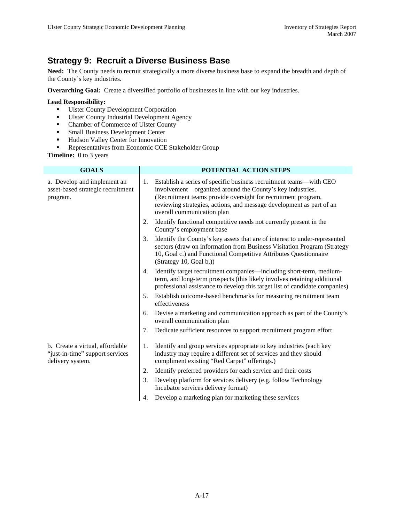### **Strategy 9: Recruit a Diverse Business Base**

**Need:** The County needs to recruit strategically a more diverse business base to expand the breadth and depth of the County's key industries.

**Overarching Goal:** Create a diversified portfolio of businesses in line with our key industries.

#### **Lead Responsibility:**

- **Ulster County Development Corporation**
- **Ulster County Industrial Development Agency**
- Chamber of Commerce of Ulster County
- **Small Business Development Center**
- **Hudson Valley Center for Innovation**
- **Representatives from Economic CCE Stakeholder Group**

| <b>GOALS</b>                                                                           | POTENTIAL ACTION STEPS |                                                                                                                                                                                                                                                                                                        |  |  |
|----------------------------------------------------------------------------------------|------------------------|--------------------------------------------------------------------------------------------------------------------------------------------------------------------------------------------------------------------------------------------------------------------------------------------------------|--|--|
| a. Develop and implement an<br>asset-based strategic recruitment<br>program.           |                        | Establish a series of specific business recruitment teams—with CEO<br>involvement—organized around the County's key industries.<br>(Recruitment teams provide oversight for recruitment program,<br>reviewing strategies, actions, and message development as part of an<br>overall communication plan |  |  |
|                                                                                        | 2.                     | Identify functional competitive needs not currently present in the<br>County's employment base                                                                                                                                                                                                         |  |  |
|                                                                                        | 3.                     | Identify the County's key assets that are of interest to under-represented<br>sectors (draw on information from Business Visitation Program (Strategy<br>10, Goal c.) and Functional Competitive Attributes Questionnaire<br>(Strategy 10, Goal b.))                                                   |  |  |
|                                                                                        | 4.                     | Identify target recruitment companies—including short-term, medium-<br>term, and long-term prospects (this likely involves retaining additional<br>professional assistance to develop this target list of candidate companies)                                                                         |  |  |
|                                                                                        | 5.                     | Establish outcome-based benchmarks for measuring recruitment team<br>effectiveness                                                                                                                                                                                                                     |  |  |
|                                                                                        | 6.                     | Devise a marketing and communication approach as part of the County's<br>overall communication plan                                                                                                                                                                                                    |  |  |
|                                                                                        | 7.                     | Dedicate sufficient resources to support recruitment program effort                                                                                                                                                                                                                                    |  |  |
| b. Create a virtual, affordable<br>"just-in-time" support services<br>delivery system. | 1.                     | Identify and group services appropriate to key industries (each key<br>industry may require a different set of services and they should<br>compliment existing "Red Carpet" offerings.)                                                                                                                |  |  |
|                                                                                        | 2.                     | Identify preferred providers for each service and their costs                                                                                                                                                                                                                                          |  |  |
|                                                                                        | 3.                     | Develop platform for services delivery (e.g. follow Technology<br>Incubator services delivery format)                                                                                                                                                                                                  |  |  |
|                                                                                        | 4.                     | Develop a marketing plan for marketing these services                                                                                                                                                                                                                                                  |  |  |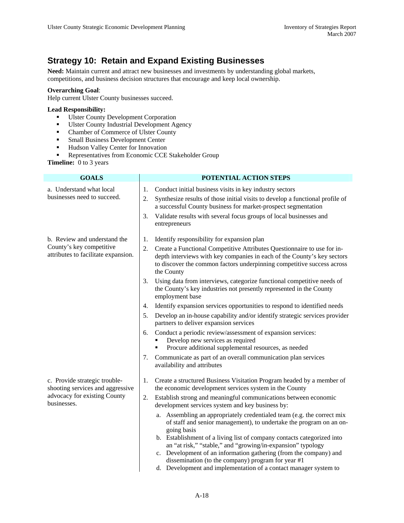### **Strategy 10: Retain and Expand Existing Businesses**

**Need:** Maintain current and attract new businesses and investments by understanding global markets, competitions, and business decision structures that encourage and keep local ownership.

#### **Overarching Goal**:

Help current Ulster County businesses succeed.

#### **Lead Responsibility:**

- **Ulster County Development Corporation**
- **Ulster County Industrial Development Agency**
- Chamber of Commerce of Ulster County
- **Small Business Development Center**
- **Hudson Valley Center for Innovation**
- **Representatives from Economic CCE Stakeholder Group**

| <b>GOALS</b>                                                                                                     | POTENTIAL ACTION STEPS                                                                                                                                                                                                                                                                                                                                                                                                                                                                                                                                                                                                                                                                                                                                                     |  |  |  |
|------------------------------------------------------------------------------------------------------------------|----------------------------------------------------------------------------------------------------------------------------------------------------------------------------------------------------------------------------------------------------------------------------------------------------------------------------------------------------------------------------------------------------------------------------------------------------------------------------------------------------------------------------------------------------------------------------------------------------------------------------------------------------------------------------------------------------------------------------------------------------------------------------|--|--|--|
| a. Understand what local<br>businesses need to succeed.                                                          | 1.<br>Conduct initial business visits in key industry sectors<br>2.<br>Synthesize results of those initial visits to develop a functional profile of<br>a successful County business for market-prospect segmentation<br>Validate results with several focus groups of local businesses and<br>3.<br>entrepreneurs                                                                                                                                                                                                                                                                                                                                                                                                                                                         |  |  |  |
| b. Review and understand the<br>County's key competitive<br>attributes to facilitate expansion.                  | 1.<br>Identify responsibility for expansion plan<br>2.<br>Create a Functional Competitive Attributes Questionnaire to use for in-<br>depth interviews with key companies in each of the County's key sectors<br>to discover the common factors underpinning competitive success across<br>the County                                                                                                                                                                                                                                                                                                                                                                                                                                                                       |  |  |  |
|                                                                                                                  | 3.<br>Using data from interviews, categorize functional competitive needs of<br>the County's key industries not presently represented in the County<br>employment base<br>Identify expansion services opportunities to respond to identified needs<br>$\overline{4}$ .<br>Develop an in-house capability and/or identify strategic services provider<br>5.<br>partners to deliver expansion services<br>Conduct a periodic review/assessment of expansion services:<br>6.<br>Develop new services as required<br>Procure additional supplemental resources, as needed<br>Communicate as part of an overall communication plan services<br>7.<br>availability and attributes                                                                                                |  |  |  |
| c. Provide strategic trouble-<br>shooting services and aggressive<br>advocacy for existing County<br>businesses. | 1.<br>Create a structured Business Visitation Program headed by a member of<br>the economic development services system in the County<br>Establish strong and meaningful communications between economic<br>2.<br>development services system and key business by:<br>a. Assembling an appropriately credentialed team (e.g. the correct mix<br>of staff and senior management), to undertake the program on an on-<br>going basis<br>b. Establishment of a living list of company contacts categorized into<br>an "at risk," "stable," and "growing/in-expansion" typology<br>c. Development of an information gathering (from the company) and<br>dissemination (to the company) program for year #1<br>d. Development and implementation of a contact manager system to |  |  |  |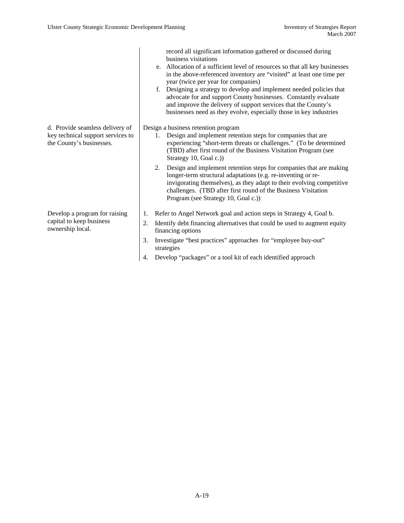|                                                                                                  | record all significant information gathered or discussed during<br>business visitations<br>e. Allocation of a sufficient level of resources so that all key businesses<br>in the above-referenced inventory are "visited" at least one time per<br>year (twice per year for companies)<br>f. Designing a strategy to develop and implement needed policies that<br>advocate for and support County businesses. Constantly evaluate<br>and improve the delivery of support services that the County's<br>businesses need as they evolve, especially those in key industries |
|--------------------------------------------------------------------------------------------------|----------------------------------------------------------------------------------------------------------------------------------------------------------------------------------------------------------------------------------------------------------------------------------------------------------------------------------------------------------------------------------------------------------------------------------------------------------------------------------------------------------------------------------------------------------------------------|
| d. Provide seamless delivery of<br>key technical support services to<br>the County's businesses. | Design a business retention program<br>Design and implement retention steps for companies that are<br>1.<br>experiencing "short-term threats or challenges." (To be determined<br>(TBD) after first round of the Business Visitation Program (see<br>Strategy 10, Goal c.))                                                                                                                                                                                                                                                                                                |
|                                                                                                  | 2. Design and implement retention steps for companies that are making<br>longer-term structural adaptations (e.g. re-inventing or re-<br>invigorating themselves), as they adapt to their evolving competitive<br>challenges. (TBD after first round of the Business Visitation<br>Program (see Strategy 10, Goal c.))                                                                                                                                                                                                                                                     |
| Develop a program for raising                                                                    | Refer to Angel Network goal and action steps in Strategy 4, Goal b.<br>1.                                                                                                                                                                                                                                                                                                                                                                                                                                                                                                  |
| capital to keep business<br>ownership local.                                                     | Identify debt financing alternatives that could be used to augment equity<br>2.<br>financing options                                                                                                                                                                                                                                                                                                                                                                                                                                                                       |
|                                                                                                  | Investigate "best practices" approaches for "employee buy-out"<br>3.<br>strategies                                                                                                                                                                                                                                                                                                                                                                                                                                                                                         |
|                                                                                                  | Develop "packages" or a tool kit of each identified approach                                                                                                                                                                                                                                                                                                                                                                                                                                                                                                               |
|                                                                                                  |                                                                                                                                                                                                                                                                                                                                                                                                                                                                                                                                                                            |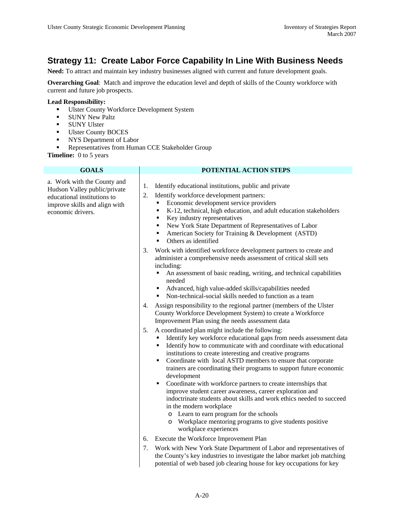### **Strategy 11: Create Labor Force Capability In Line With Business Needs**

**Need:** To attract and maintain key industry businesses aligned with current and future development goals.

**Overarching Goal**: Match and improve the education level and depth of skills of the County workforce with current and future job prospects.

#### **Lead Responsibility:**

- **Ulster County Workforce Development System**
- SUNY New Paltz
- **SUNY Ulster**
- Ulster County BOCES
- NYS Department of Labor
- **Representatives from Human CCE Stakeholder Group**

**Timeline:** 0 to 5 years

a. Work with the County and Hudson Valley public/private educational institutions to improve skills and align with economic drivers.

#### **GOALS POTENTIAL ACTION STEPS**

- 1. Identify educational institutions, public and private
- 2. Identify workforce development partners:
	- Economic development service providers
	- K-12, technical, high education, and adult education stakeholders
	- Key industry representatives
	- New York State Department of Representatives of Labor
	- American Society for Training & Development (ASTD)
	- Others as identified
- 3. Work with identified workforce development partners to create and administer a comprehensive needs assessment of critical skill sets including:
	- An assessment of basic reading, writing, and technical capabilities needed
	- Advanced, high value-added skills/capabilities needed
	- Non-technical-social skills needed to function as a team
- 4. Assign responsibility to the regional partner (members of the Ulster County Workforce Development System) to create a Workforce Improvement Plan using the needs assessment data
- 5. A coordinated plan might include the following:
	- Identify key workforce educational gaps from needs assessment data
	- Identify how to communicate with and coordinate with educational institutions to create interesting and creative programs
	- Coordinate with local ASTD members to ensure that corporate trainers are coordinating their programs to support future economic development
	- Coordinate with workforce partners to create internships that improve student career awareness, career exploration and indoctrinate students about skills and work ethics needed to succeed in the modern workplace
		- o Learn to earn program for the schools
		- o Workplace mentoring programs to give students positive workplace experiences
- 6. Execute the Workforce Improvement Plan
- 7. Work with New York State Department of Labor and representatives of the County's key industries to investigate the labor market job matching potential of web based job clearing house for key occupations for key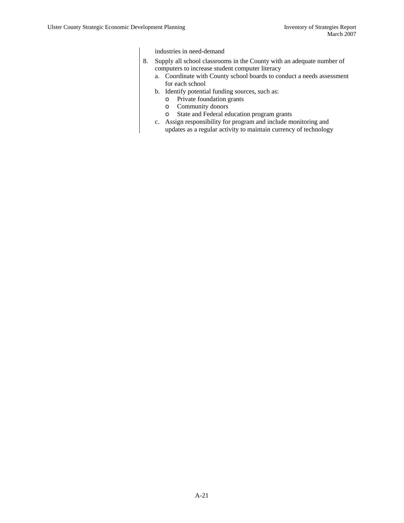industries in need-demand

- 8. Supply all school classrooms in the County with an adequate number of computers to increase student computer literacy
	- a. Coordinate with County school boards to conduct a needs assessment for each school
	- b. Identify potential funding sources, such as:
		- o Private foundation grants
		- o Community donors
		- o State and Federal education program grants
	- c. Assign responsibility for program and include monitoring and updates as a regular activity to maintain currency of technology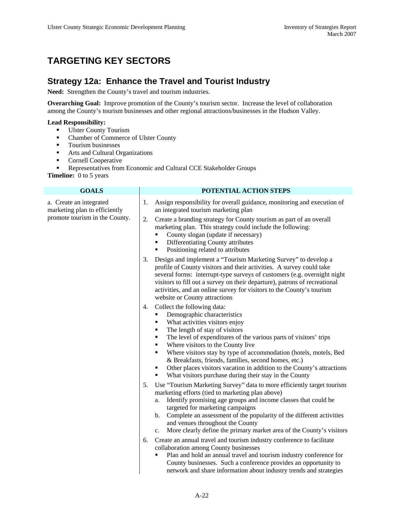### **TARGETING KEY SECTORS**

#### **Strategy 12a: Enhance the Travel and Tourist Industry**

**Need:** Strengthen the County's travel and tourism industries.

**Overarching Goal:** Improve promotion of the County's tourism sector. Increase the level of collaboration among the County's tourism businesses and other regional attractions/businesses in the Hudson Valley.

#### **Lead Responsibility:**

- **Ulster County Tourism**
- Chamber of Commerce of Ulster County
- **Tourism businesses**
- **Arts and Cultural Organizations**
- **Cornell Cooperative**
- **Representatives from Economic and Cultural CCE Stakeholder Groups**

| <b>GOALS</b>                                             | POTENTIAL ACTION STEPS                                                                                                                                                                                                                                                                                                                                                                                                                                                                                                                             |  |  |  |
|----------------------------------------------------------|----------------------------------------------------------------------------------------------------------------------------------------------------------------------------------------------------------------------------------------------------------------------------------------------------------------------------------------------------------------------------------------------------------------------------------------------------------------------------------------------------------------------------------------------------|--|--|--|
| a. Create an integrated<br>marketing plan to efficiently | Assign responsibility for overall guidance, monitoring and execution of<br>1.<br>an integrated tourism marketing plan                                                                                                                                                                                                                                                                                                                                                                                                                              |  |  |  |
| promote tourism in the County.                           | Create a branding strategy for County tourism as part of an overall<br>2.<br>marketing plan. This strategy could include the following:<br>County slogan (update if necessary)<br>٠<br>Differentiating County attributes<br>٠<br>Positioning related to attributes<br>٠                                                                                                                                                                                                                                                                            |  |  |  |
|                                                          | Design and implement a "Tourism Marketing Survey" to develop a<br>3.<br>profile of County visitors and their activities. A survey could take<br>several forms: interrupt-type surveys of customers (e.g. overnight night<br>visitors to fill out a survey on their departure), patrons of recreational<br>activities, and an online survey for visitors to the County's tourism<br>website or County attractions                                                                                                                                   |  |  |  |
|                                                          | Collect the following data:<br>4.<br>Demographic characteristics<br>٠<br>What activities visitors enjoy<br>٠<br>The length of stay of visitors<br>п<br>The level of expenditures of the various parts of visitors' trips<br>٠<br>Where visitors to the County live<br>٠<br>Where visitors stay by type of accommodation (hotels, motels, Bed<br>٠<br>& Breakfasts, friends, families, second homes, etc.)<br>Other places visitors vacation in addition to the County's attractions<br>٠<br>What visitors purchase during their stay in the County |  |  |  |
|                                                          | Use "Tourism Marketing Survey" data to more efficiently target tourism<br>5.<br>marketing efforts (tied to marketing plan above)<br>Identify promising age groups and income classes that could be<br>a.<br>targeted for marketing campaigns<br>Complete an assessment of the popularity of the different activities<br>b.<br>and venues throughout the County<br>More clearly define the primary market area of the County's visitors<br>c.                                                                                                       |  |  |  |
|                                                          | Create an annual travel and tourism industry conference to facilitate<br>6.<br>collaboration among County businesses<br>Plan and hold an annual travel and tourism industry conference for<br>County businesses. Such a conference provides an opportunity to<br>network and share information about industry trends and strategies                                                                                                                                                                                                                |  |  |  |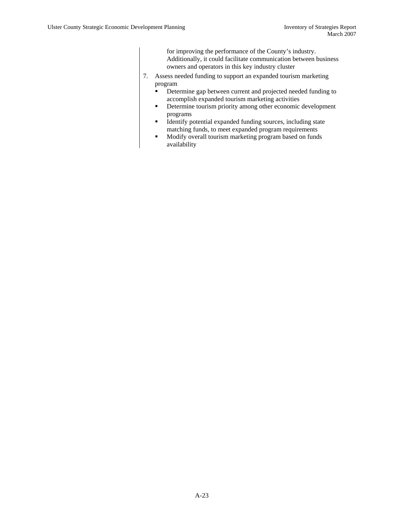for improving the performance of the County's industry. Additionally, it could facilitate communication between business owners and operators in this key industry cluster

- 7. Assess needed funding to support an expanded tourism marketing program
	- Determine gap between current and projected needed funding to accomplish expanded tourism marketing activities
	- Determine tourism priority among other economic development programs
	- Identify potential expanded funding sources, including state matching funds, to meet expanded program requirements
	- **Modify overall tourism marketing program based on funds** availability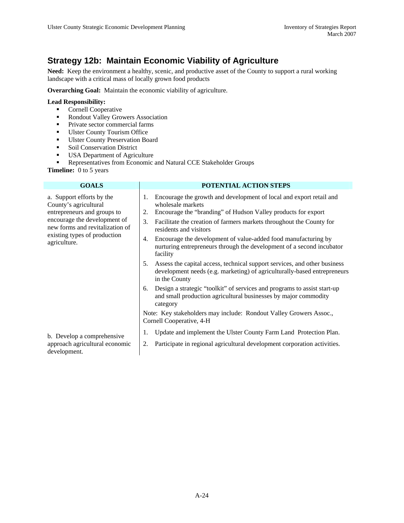### **Strategy 12b: Maintain Economic Viability of Agriculture**

**Need:** Keep the environment a healthy, scenic, and productive asset of the County to support a rural working landscape with a critical mass of locally grown food products

**Overarching Goal:** Maintain the economic viability of agriculture.

#### **Lead Responsibility:**

- **Cornell Cooperative**
- Rondout Valley Growers Association
- Private sector commercial farms
- **Ulster County Tourism Office**
- **Ulster County Preservation Board**
- **Soil Conservation District**
- USA Department of Agriculture

**Representatives from Economic and Natural CCE Stakeholder Groups** 

| <b>GOALS</b>                                                                                                                                                                                         | POTENTIAL ACTION STEPS                                                                                                                                                                                                                                                        |  |  |
|------------------------------------------------------------------------------------------------------------------------------------------------------------------------------------------------------|-------------------------------------------------------------------------------------------------------------------------------------------------------------------------------------------------------------------------------------------------------------------------------|--|--|
| a. Support efforts by the<br>County's agricultural<br>entrepreneurs and groups to<br>encourage the development of<br>new forms and revitalization of<br>existing types of production<br>agriculture. | Encourage the growth and development of local and export retail and<br>1.<br>wholesale markets<br>Encourage the "branding" of Hudson Valley products for export<br>2.<br>Facilitate the creation of farmers markets throughout the County for<br>3.<br>residents and visitors |  |  |
|                                                                                                                                                                                                      | Encourage the development of value-added food manufacturing by<br>4.<br>nurturing entrepreneurs through the development of a second incubator<br>facility                                                                                                                     |  |  |
|                                                                                                                                                                                                      | Assess the capital access, technical support services, and other business<br>5.<br>development needs (e.g. marketing) of agriculturally-based entrepreneurs<br>in the County                                                                                                  |  |  |
|                                                                                                                                                                                                      | Design a strategic "toolkit" of services and programs to assist start-up<br>6.<br>and small production agricultural businesses by major commodity<br>category                                                                                                                 |  |  |
|                                                                                                                                                                                                      | Note: Key stakeholders may include: Rondout Valley Growers Assoc.,<br>Cornell Cooperative, 4-H                                                                                                                                                                                |  |  |
| b. Develop a comprehensive<br>approach agricultural economic<br>development.                                                                                                                         | Update and implement the Ulster County Farm Land Protection Plan.<br>1.                                                                                                                                                                                                       |  |  |
|                                                                                                                                                                                                      | Participate in regional agricultural development corporation activities.<br>2.                                                                                                                                                                                                |  |  |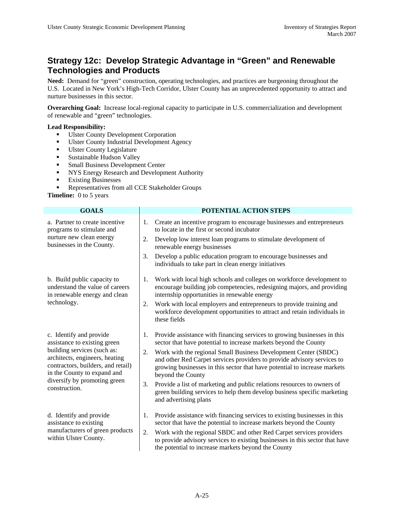### **Strategy 12c: Develop Strategic Advantage in "Green" and Renewable Technologies and Products**

**Need:** Demand for "green" construction, operating technologies, and practices are burgeoning throughout the U.S. Located in New York's High-Tech Corridor, Ulster County has an unprecedented opportunity to attract and nurture businesses in this sector.

**Overarching Goal:** Increase local-regional capacity to participate in U.S. commercialization and development of renewable and "green" technologies.

#### **Lead Responsibility:**

- Ulster County Development Corporation<br>■ Ulster County Industrial Development A
- Ulster County Industrial Development Agency
- **Ulster County Legislature**
- **Sustainable Hudson Valley**
- **Small Business Development Center**
- NYS Energy Research and Development Authority
- **Existing Businesses**
- Representatives from all CCE Stakeholder Groups

| <b>GOALS</b>                                                                                                                                                                                                                                   | POTENTIAL ACTION STEPS |                                                                                                                                                                                                                                              |  |  |
|------------------------------------------------------------------------------------------------------------------------------------------------------------------------------------------------------------------------------------------------|------------------------|----------------------------------------------------------------------------------------------------------------------------------------------------------------------------------------------------------------------------------------------|--|--|
| a. Partner to create incentive<br>programs to stimulate and<br>nurture new clean energy<br>businesses in the County.                                                                                                                           | 1.                     | Create an incentive program to encourage businesses and entrepreneurs<br>to locate in the first or second incubator                                                                                                                          |  |  |
|                                                                                                                                                                                                                                                | 2.                     | Develop low interest loan programs to stimulate development of<br>renewable energy businesses                                                                                                                                                |  |  |
|                                                                                                                                                                                                                                                | 3.                     | Develop a public education program to encourage businesses and<br>individuals to take part in clean energy initiatives                                                                                                                       |  |  |
| b. Build public capacity to<br>understand the value of careers<br>in renewable energy and clean<br>technology.                                                                                                                                 | 1.                     | Work with local high schools and colleges on workforce development to<br>encourage building job competencies, redesigning majors, and providing<br>internship opportunities in renewable energy                                              |  |  |
|                                                                                                                                                                                                                                                | 2.                     | Work with local employers and entrepreneurs to provide training and<br>workforce development opportunities to attract and retain individuals in<br>these fields                                                                              |  |  |
| c. Identify and provide<br>assistance to existing green<br>building services (such as:<br>architects, engineers, heating<br>contractors, builders, and retail)<br>in the County to expand and<br>diversify by promoting green<br>construction. | 1.                     | Provide assistance with financing services to growing businesses in this<br>sector that have potential to increase markets beyond the County                                                                                                 |  |  |
|                                                                                                                                                                                                                                                | 2.                     | Work with the regional Small Business Development Center (SBDC)<br>and other Red Carpet services providers to provide advisory services to<br>growing businesses in this sector that have potential to increase markets<br>beyond the County |  |  |
|                                                                                                                                                                                                                                                | 3.                     | Provide a list of marketing and public relations resources to owners of<br>green building services to help them develop business specific marketing<br>and advertising plans                                                                 |  |  |
| d. Identify and provide<br>assistance to existing<br>manufacturers of green products<br>within Ulster County.                                                                                                                                  | 1.                     | Provide assistance with financing services to existing businesses in this<br>sector that have the potential to increase markets beyond the County                                                                                            |  |  |
|                                                                                                                                                                                                                                                | 2.                     | Work with the regional SBDC and other Red Carpet services providers<br>to provide advisory services to existing businesses in this sector that have<br>the potential to increase markets beyond the County                                   |  |  |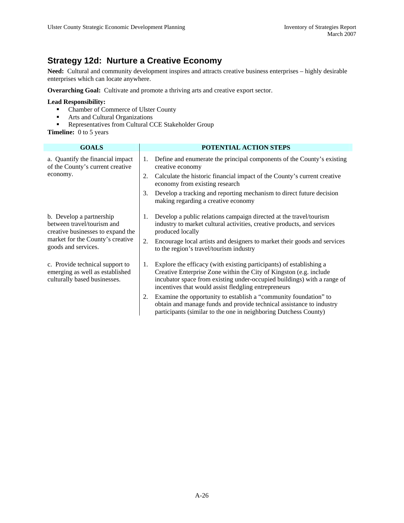### **Strategy 12d: Nurture a Creative Economy**

**Need:** Cultural and community development inspires and attracts creative business enterprises – highly desirable enterprises which can locate anywhere.

**Overarching Goal:** Cultivate and promote a thriving arts and creative export sector.

#### **Lead Responsibility:**

- Chamber of Commerce of Ulster County
- **Arts and Cultural Organizations**
- Representatives from Cultural CCE Stakeholder Group

| <b>GOALS</b>                                                                                       | POTENTIAL ACTION STEPS |                                                                                                                                                                                                                                                                               |  |
|----------------------------------------------------------------------------------------------------|------------------------|-------------------------------------------------------------------------------------------------------------------------------------------------------------------------------------------------------------------------------------------------------------------------------|--|
| a. Quantify the financial impact<br>of the County's current creative<br>economy.                   | 1.                     | Define and enumerate the principal components of the County's existing<br>creative economy                                                                                                                                                                                    |  |
|                                                                                                    | 2.                     | Calculate the historic financial impact of the County's current creative<br>economy from existing research                                                                                                                                                                    |  |
|                                                                                                    | 3.                     | Develop a tracking and reporting mechanism to direct future decision<br>making regarding a creative economy                                                                                                                                                                   |  |
| b. Develop a partnership<br>between travel/tourism and<br>creative businesses to expand the        |                        | Develop a public relations campaign directed at the travel/tourism<br>industry to market cultural activities, creative products, and services<br>produced locally                                                                                                             |  |
| market for the County's creative<br>goods and services.                                            | 2.                     | Encourage local artists and designers to market their goods and services<br>to the region's travel/tourism industry                                                                                                                                                           |  |
| c. Provide technical support to<br>emerging as well as established<br>culturally based businesses. |                        | Explore the efficacy (with existing participants) of establishing a<br>Creative Enterprise Zone within the City of Kingston (e.g. include)<br>incubator space from existing under-occupied buildings) with a range of<br>incentives that would assist fledgling entrepreneurs |  |
|                                                                                                    | 2.                     | Examine the opportunity to establish a "community foundation" to<br>obtain and manage funds and provide technical assistance to industry<br>participants (similar to the one in neighboring Dutchess County)                                                                  |  |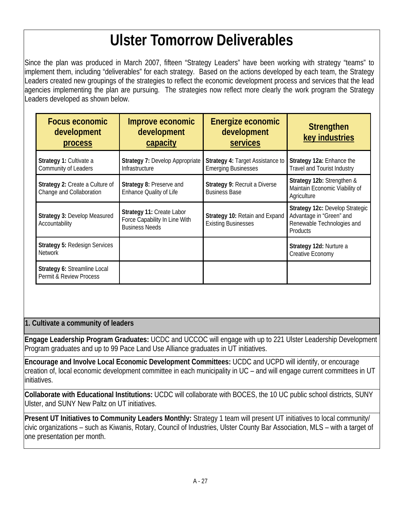# **Ulster Tomorrow Deliverables**

Since the plan was produced in March 2007, fifteen "Strategy Leaders" have been working with strategy "teams" to implement them, including "deliverables" for each strategy. Based on the actions developed by each team, the Strategy Leaders created new groupings of the strategies to reflect the economic development process and services that the lead agencies implementing the plan are pursuing. The strategies now reflect more clearly the work program the Strategy Leaders developed as shown below.

| <b>Focus economic</b><br>development<br>process                    | Improve economic<br>development<br>capacity                                         | Energize economic<br>development<br><b>services</b>            | <b>Strengthen</b><br>key industries                                                                   |
|--------------------------------------------------------------------|-------------------------------------------------------------------------------------|----------------------------------------------------------------|-------------------------------------------------------------------------------------------------------|
| Strategy 1: Cultivate a<br>Community of Leaders                    | Strategy 7: Develop Appropriate<br>Infrastructure                                   | Strategy 4: Target Assistance to<br><b>Emerging Businesses</b> | Strategy 12a: Enhance the<br><b>Travel and Tourist Industry</b>                                       |
| <b>Strategy 2: Create a Culture of</b><br>Change and Collaboration | Strategy 8: Preserve and<br>Enhance Quality of Life                                 | Strategy 9: Recruit a Diverse<br><b>Business Base</b>          | Strategy 12b: Strengthen &<br>Maintain Economic Viability of<br>Agriculture                           |
| Strategy 3: Develop Measured<br>Accountability                     | Strategy 11: Create Labor<br>Force Capability In Line With<br><b>Business Needs</b> | Strategy 10: Retain and Expand<br><b>Existing Businesses</b>   | Strategy 12c: Develop Strategic<br>Advantage in "Green" and<br>Renewable Technologies and<br>Products |
| <b>Strategy 5: Redesign Services</b><br><b>Network</b>             |                                                                                     |                                                                | Strategy 12d: Nurture a<br>Creative Economy                                                           |
| Strategy 6: Streamline Local<br>Permit & Review Process            |                                                                                     |                                                                |                                                                                                       |

### **1. Cultivate a community of leaders**

**Engage Leadership Program Graduates:** UCDC and UCCOC will engage with up to 221 Ulster Leadership Development Program graduates and up to 99 Pace Land Use Alliance graduates in UT initiatives.

**Encourage and Involve Local Economic Development Committees:** UCDC and UCPD will identify, or encourage creation of, local economic development committee in each municipality in UC – and will engage current committees in UT initiatives.

**Collaborate with Educational Institutions:** UCDC will collaborate with BOCES, the 10 UC public school districts, SUNY Ulster, and SUNY New Paltz on UT initiatives.

**Present UT Initiatives to Community Leaders Monthly:** Strategy 1 team will present UT initiatives to local community/ civic organizations – such as Kiwanis, Rotary, Council of Industries, Ulster County Bar Association, MLS – with a target of one presentation per month.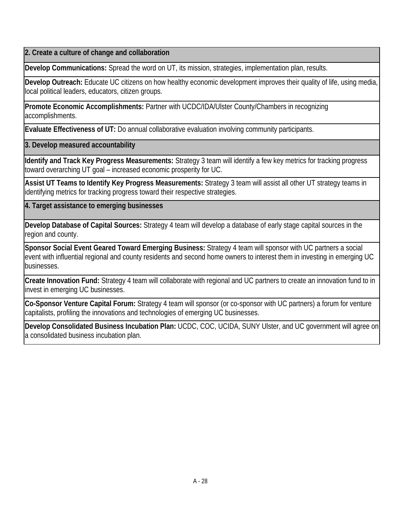**2. Create a culture of change and collaboration** 

**Develop Communications:** Spread the word on UT, its mission, strategies, implementation plan, results.

**Develop Outreach:** Educate UC citizens on how healthy economic development improves their quality of life, using media, local political leaders, educators, citizen groups.

**Promote Economic Accomplishments:** Partner with UCDC/IDA/Ulster County/Chambers in recognizing accomplishments.

**Evaluate Effectiveness of UT:** Do annual collaborative evaluation involving community participants.

**3. Develop measured accountability** 

**Identify and Track Key Progress Measurements:** Strategy 3 team will identify a few key metrics for tracking progress toward overarching UT goal – increased economic prosperity for UC.

**Assist UT Teams to Identify Key Progress Measurements:** Strategy 3 team will assist all other UT strategy teams in identifying metrics for tracking progress toward their respective strategies.

**4. Target assistance to emerging businesses** 

**Develop Database of Capital Sources:** Strategy 4 team will develop a database of early stage capital sources in the region and county.

**Sponsor Social Event Geared Toward Emerging Business:** Strategy 4 team will sponsor with UC partners a social event with influential regional and county residents and second home owners to interest them in investing in emerging UC businesses.

**Create Innovation Fund:** Strategy 4 team will collaborate with regional and UC partners to create an innovation fund to in invest in emerging UC businesses.

**Co-Sponsor Venture Capital Forum:** Strategy 4 team will sponsor (or co-sponsor with UC partners) a forum for venture capitalists, profiling the innovations and technologies of emerging UC businesses.

**Develop Consolidated Business Incubation Plan:** UCDC, COC, UCIDA, SUNY Ulster, and UC government will agree on a consolidated business incubation plan.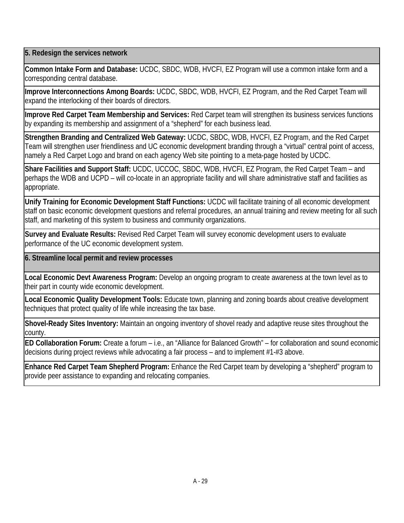**5. Redesign the services network** 

**Common Intake Form and Database:** UCDC, SBDC, WDB, HVCFI, EZ Program will use a common intake form and a corresponding central database.

**Improve Interconnections Among Boards:** UCDC, SBDC, WDB, HVCFI, EZ Program, and the Red Carpet Team will expand the interlocking of their boards of directors.

**Improve Red Carpet Team Membership and Services:** Red Carpet team will strengthen its business services functions by expanding its membership and assignment of a "shepherd" for each business lead.

**Strengthen Branding and Centralized Web Gateway:** UCDC, SBDC, WDB, HVCFI, EZ Program, and the Red Carpet Team will strengthen user friendliness and UC economic development branding through a "virtual" central point of access, namely a Red Carpet Logo and brand on each agency Web site pointing to a meta-page hosted by UCDC.

**Share Facilities and Support Staff:** UCDC, UCCOC, SBDC, WDB, HVCFI, EZ Program, the Red Carpet Team – and perhaps the WDB and UCPD – will co-locate in an appropriate facility and will share administrative staff and facilities as appropriate.

**Unify Training for Economic Development Staff Functions:** UCDC will facilitate training of all economic development staff on basic economic development questions and referral procedures, an annual training and review meeting for all such staff, and marketing of this system to business and community organizations.

**Survey and Evaluate Results:** Revised Red Carpet Team will survey economic development users to evaluate performance of the UC economic development system.

**6. Streamline local permit and review processes** 

**Local Economic Devt Awareness Program:** Develop an ongoing program to create awareness at the town level as to their part in county wide economic development.

**Local Economic Quality Development Tools:** Educate town, planning and zoning boards about creative development techniques that protect quality of life while increasing the tax base.

**Shovel-Ready Sites Inventory:** Maintain an ongoing inventory of shovel ready and adaptive reuse sites throughout the county.

**ED Collaboration Forum:** Create a forum – i.e., an "Alliance for Balanced Growth" – for collaboration and sound economic decisions during project reviews while advocating a fair process – and to implement #1-#3 above.

**Enhance Red Carpet Team Shepherd Program:** Enhance the Red Carpet team by developing a "shepherd" program to provide peer assistance to expanding and relocating companies.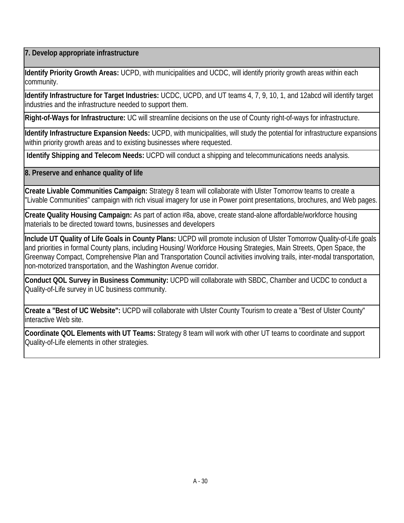**7. Develop appropriate infrastructure** 

**Identify Priority Growth Areas:** UCPD, with municipalities and UCDC, will identify priority growth areas within each community.

**Identify Infrastructure for Target Industries:** UCDC, UCPD, and UT teams 4, 7, 9, 10, 1, and 12abcd will identify target industries and the infrastructure needed to support them.

**Right-of-Ways for Infrastructure:** UC will streamline decisions on the use of County right-of-ways for infrastructure.

**Identify Infrastructure Expansion Needs:** UCPD, with municipalities, will study the potential for infrastructure expansions within priority growth areas and to existing businesses where requested.

 **Identify Shipping and Telecom Needs:** UCPD will conduct a shipping and telecommunications needs analysis.

**8. Preserve and enhance quality of life** 

**Create Livable Communities Campaign:** Strategy 8 team will collaborate with Ulster Tomorrow teams to create a "Livable Communities" campaign with rich visual imagery for use in Power point presentations, brochures, and Web pages.

**Create Quality Housing Campaign:** As part of action #8a, above, create stand-alone affordable/workforce housing materials to be directed toward towns, businesses and developers

**Include UT Quality of Life Goals in County Plans:** UCPD will promote inclusion of Ulster Tomorrow Quality-of-Life goals and priorities in formal County plans, including Housing/ Workforce Housing Strategies, Main Streets, Open Space, the Greenway Compact, Comprehensive Plan and Transportation Council activities involving trails, inter-modal transportation, non-motorized transportation, and the Washington Avenue corridor.

**Conduct QOL Survey in Business Community:** UCPD will collaborate with SBDC, Chamber and UCDC to conduct a Quality-of-Life survey in UC business community.

**Create a "Best of UC Website":** UCPD will collaborate with Ulster County Tourism to create a "Best of Ulster County" interactive Web site.

**Coordinate QOL Elements with UT Teams:** Strategy 8 team will work with other UT teams to coordinate and support Quality-of-Life elements in other strategies.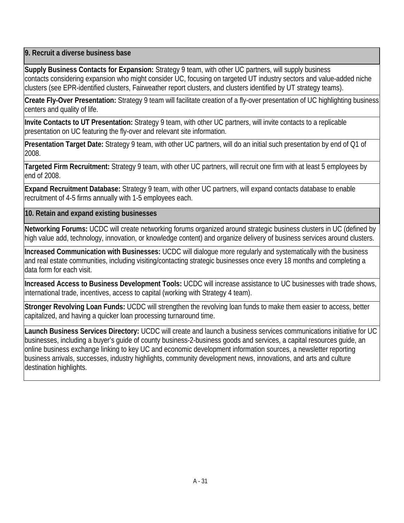**9. Recruit a diverse business base** 

**Supply Business Contacts for Expansion:** Strategy 9 team, with other UC partners, will supply business contacts considering expansion who might consider UC, focusing on targeted UT industry sectors and value-added niche clusters (see EPR-identified clusters, Fairweather report clusters, and clusters identified by UT strategy teams).

**Create Fly-Over Presentation:** Strategy 9 team will facilitate creation of a fly-over presentation of UC highlighting business centers and quality of life.

**Invite Contacts to UT Presentation:** Strategy 9 team, with other UC partners, will invite contacts to a replicable presentation on UC featuring the fly-over and relevant site information.

**Presentation Target Date:** Strategy 9 team, with other UC partners, will do an initial such presentation by end of Q1 of 2008.

**Targeted Firm Recruitment:** Strategy 9 team, with other UC partners, will recruit one firm with at least 5 employees by end of 2008.

**Expand Recruitment Database:** Strategy 9 team, with other UC partners, will expand contacts database to enable recruitment of 4-5 firms annually with 1-5 employees each.

**10. Retain and expand existing businesses** 

**Networking Forums:** UCDC will create networking forums organized around strategic business clusters in UC (defined by high value add, technology, innovation, or knowledge content) and organize delivery of business services around clusters.

**Increased Communication with Businesses:** UCDC will dialogue more regularly and systematically with the business and real estate communities, including visiting/contacting strategic businesses once every 18 months and completing a data form for each visit.

**Increased Access to Business Development Tools:** UCDC will increase assistance to UC businesses with trade shows, international trade, incentives, access to capital (working with Strategy 4 team).

**Stronger Revolving Loan Funds:** UCDC will strengthen the revolving loan funds to make them easier to access, better capitalized, and having a quicker loan processing turnaround time.

**Launch Business Services Directory:** UCDC will create and launch a business services communications initiative for UC businesses, including a buyer's guide of county business-2-business goods and services, a capital resources guide, an online business exchange linking to key UC and economic development information sources, a newsletter reporting business arrivals, successes, industry highlights, community development news, innovations, and arts and culture destination highlights.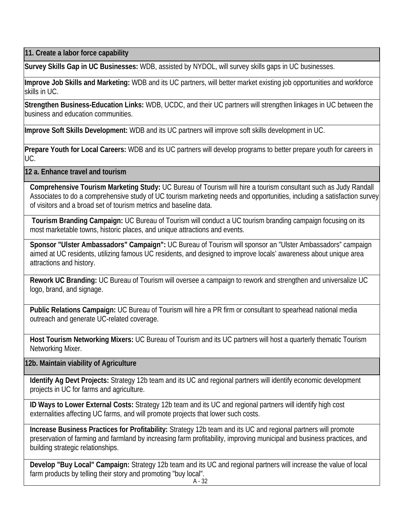**11. Create a labor force capability** 

**Survey Skills Gap in UC Businesses:** WDB, assisted by NYDOL, will survey skills gaps in UC businesses.

**Improve Job Skills and Marketing:** WDB and its UC partners, will better market existing job opportunities and workforce skills in UC.

**Strengthen Business-Education Links:** WDB, UCDC, and their UC partners will strengthen linkages in UC between the business and education communities.

**Improve Soft Skills Development:** WDB and its UC partners will improve soft skills development in UC.

**Prepare Youth for Local Careers:** WDB and its UC partners will develop programs to better prepare youth for careers in UC.

**12 a. Enhance travel and tourism** 

**Comprehensive Tourism Marketing Study:** UC Bureau of Tourism will hire a tourism consultant such as Judy Randall Associates to do a comprehensive study of UC tourism marketing needs and opportunities, including a satisfaction survey of visitors and a broad set of tourism metrics and baseline data.

 **Tourism Branding Campaign:** UC Bureau of Tourism will conduct a UC tourism branding campaign focusing on its most marketable towns, historic places, and unique attractions and events.

**Sponsor "Ulster Ambassadors" Campaign":** UC Bureau of Tourism will sponsor an "Ulster Ambassadors" campaign aimed at UC residents, utilizing famous UC residents, and designed to improve locals' awareness about unique area attractions and history.

**Rework UC Branding:** UC Bureau of Tourism will oversee a campaign to rework and strengthen and universalize UC logo, brand, and signage.

**Public Relations Campaign:** UC Bureau of Tourism will hire a PR firm or consultant to spearhead national media outreach and generate UC-related coverage.

**Host Tourism Networking Mixers:** UC Bureau of Tourism and its UC partners will host a quarterly thematic Tourism Networking Mixer.

**12b. Maintain viability of Agriculture**

**Identify Ag Devt Projects:** Strategy 12b team and its UC and regional partners will identify economic development projects in UC for farms and agriculture.

**ID Ways to Lower External Costs:** Strategy 12b team and its UC and regional partners will identify high cost externalities affecting UC farms, and will promote projects that lower such costs.

**Increase Business Practices for Profitability:** Strategy 12b team and its UC and regional partners will promote preservation of farming and farmland by increasing farm profitability, improving municipal and business practices, and building strategic relationships.

**Develop "Buy Local" Campaign:** Strategy 12b team and its UC and regional partners will increase the value of local farm products by telling their story and promoting "buy local". A - 32